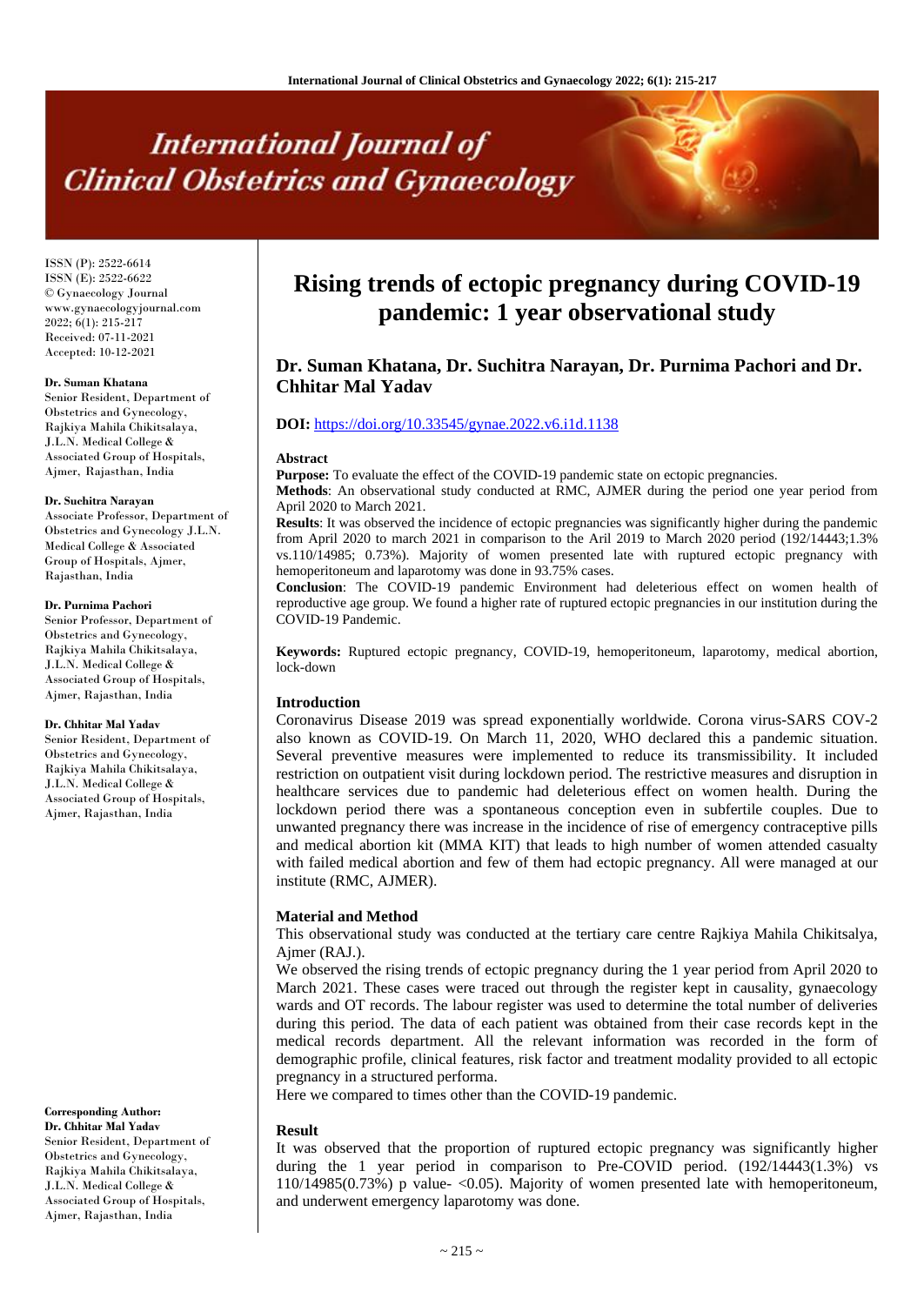# **International Journal of Clinical Obstetrics and Gynaecology**

ISSN (P): 2522-6614 ISSN (E): 2522-6622 © Gynaecology Journal www.gynaecologyjournal.com  $2022; 6(1): 215-217$ Received: 07-11-2021 Accepted: 10-12-2021

#### **Dr. Suman Khatana**

Senior Resident, Department of Obstetrics and Gynecology, Rajkiya Mahila Chikitsalaya, J.L.N. Medical College & Associated Group of Hospitals, Ajmer, Rajasthan, India

#### **Dr. Suchitra Narayan**

Associate Professor, Department of Obstetrics and Gynecology J.L.N. Medical College & Associated Group of Hospitals, Ajmer, Rajasthan, India

#### **Dr. Purnima Pachori**

Senior Professor, Department of Obstetrics and Gynecology, Rajkiya Mahila Chikitsalaya, J.L.N. Medical College & Associated Group of Hospitals, Ajmer, Rajasthan, India

#### **Dr. Chhitar Mal Yadav**

Senior Resident, Department of Obstetrics and Gynecology, Rajkiya Mahila Chikitsalaya, J.L.N. Medical College & Associated Group of Hospitals, Ajmer, Rajasthan, India

# **Corresponding Author:**

**Dr. Chhitar Mal Yadav** Senior Resident, Department of Obstetrics and Gynecology, Rajkiya Mahila Chikitsalaya, J.L.N. Medical College & Associated Group of Hospitals, Ajmer, Rajasthan, India

# **Rising trends of ectopic pregnancy during COVID-19 pandemic: 1 year observational study**

# **Dr. Suman Khatana, Dr. Suchitra Narayan, Dr. Purnima Pachori and Dr. Chhitar Mal Yadav**

# **DOI:** <https://doi.org/10.33545/gynae.2022.v6.i1d.1138>

#### **Abstract**

**Purpose:** To evaluate the effect of the COVID-19 pandemic state on ectopic pregnancies.

**Methods**: An observational study conducted at RMC, AJMER during the period one year period from April 2020 to March 2021.

**Results**: It was observed the incidence of ectopic pregnancies was significantly higher during the pandemic from April 2020 to march 2021 in comparison to the Aril 2019 to March 2020 period (192/14443;1.3% vs.110/14985; 0.73%). Majority of women presented late with ruptured ectopic pregnancy with hemoperitoneum and laparotomy was done in 93.75% cases.

**Conclusion**: The COVID-19 pandemic Environment had deleterious effect on women health of reproductive age group. We found a higher rate of ruptured ectopic pregnancies in our institution during the COVID-19 Pandemic.

**Keywords:** Ruptured ectopic pregnancy, COVID-19, hemoperitoneum, laparotomy, medical abortion, lock-down

# **Introduction**

Coronavirus Disease 2019 was spread exponentially worldwide. Corona virus-SARS COV-2 also known as COVID-19. On March 11, 2020, WHO declared this a pandemic situation. Several preventive measures were implemented to reduce its transmissibility. It included restriction on outpatient visit during lockdown period. The restrictive measures and disruption in healthcare services due to pandemic had deleterious effect on women health. During the lockdown period there was a spontaneous conception even in subfertile couples. Due to unwanted pregnancy there was increase in the incidence of rise of emergency contraceptive pills and medical abortion kit (MMA KIT) that leads to high number of women attended casualty with failed medical abortion and few of them had ectopic pregnancy. All were managed at our institute (RMC, AJMER).

#### **Material and Method**

This observational study was conducted at the tertiary care centre Rajkiya Mahila Chikitsalya, Ajmer (RAJ.).

We observed the rising trends of ectopic pregnancy during the 1 year period from April 2020 to March 2021. These cases were traced out through the register kept in causality, gynaecology wards and OT records. The labour register was used to determine the total number of deliveries during this period. The data of each patient was obtained from their case records kept in the medical records department. All the relevant information was recorded in the form of demographic profile, clinical features, risk factor and treatment modality provided to all ectopic pregnancy in a structured performa.

Here we compared to times other than the COVID-19 pandemic.

#### **Result**

It was observed that the proportion of ruptured ectopic pregnancy was significantly higher during the 1 year period in comparison to Pre-COVID period.  $(192/14443(1.3%)$  vs  $110/14985(0.73%)$  p value- $\leq 0.05$ ). Majority of women presented late with hemoperitoneum, and underwent emergency laparotomy was done.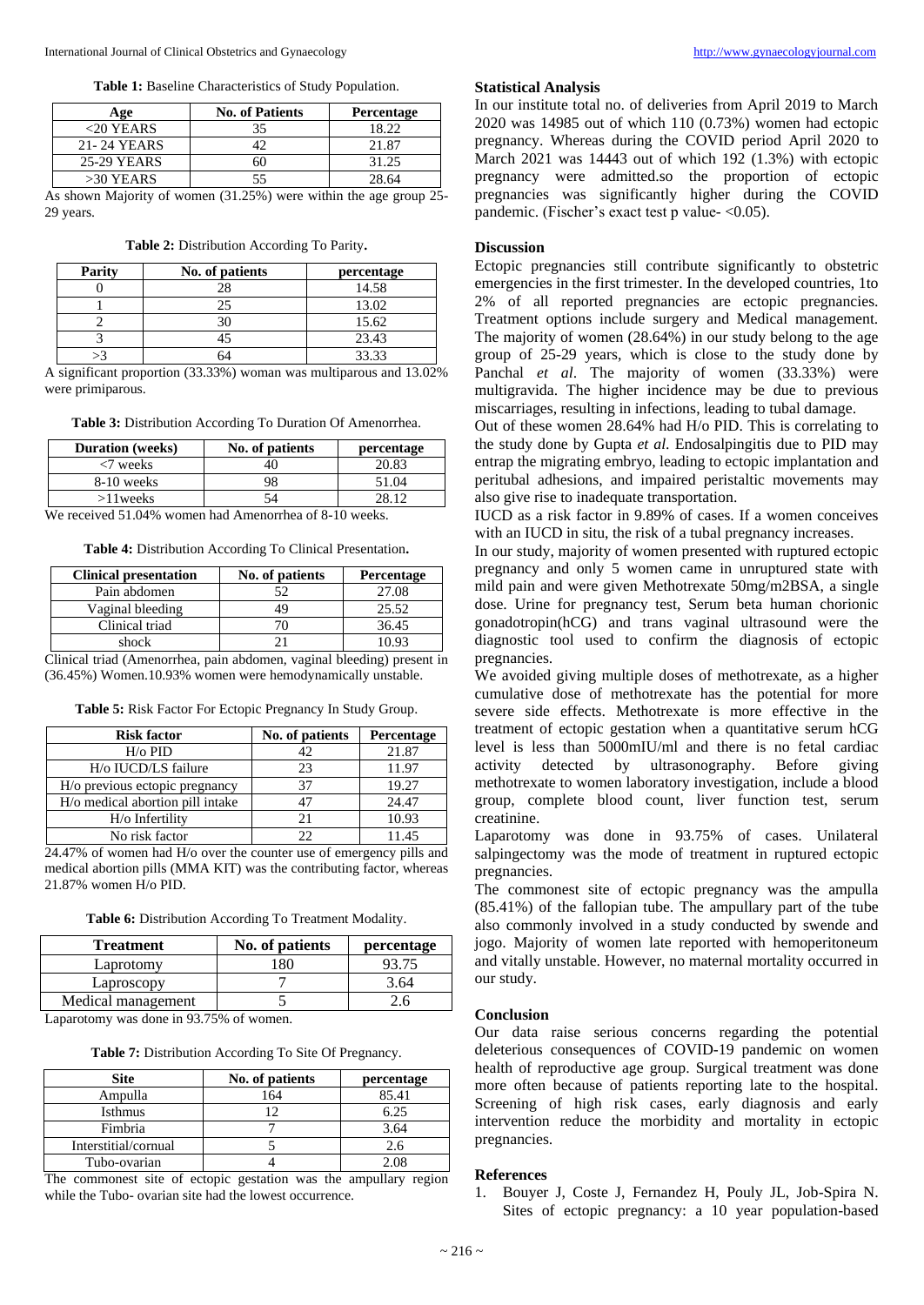**Table 1:** Baseline Characteristics of Study Population.

| Age          | <b>No. of Patients</b> | <b>Percentage</b>       |
|--------------|------------------------|-------------------------|
| $<$ 20 YEARS | 35                     | 18.22                   |
| 21-24 YEARS  |                        | 21.87                   |
| 25-29 YEARS  | 50                     | 31.25                   |
| $>30$ YEARS  |                        | 28.64                   |
| .            | .<br>(0.1)             | $\sim$ $\sim$<br>$\sim$ |

As shown Majority of women (31.25%) were within the age group 25- 29 years.

|  | Table 2: Distribution According To Parity. |  |  |
|--|--------------------------------------------|--|--|
|--|--------------------------------------------|--|--|

| Parity | No. of patients | percentage |
|--------|-----------------|------------|
|        |                 | 14.58      |
|        |                 | 13.02      |
|        |                 | 15.62      |
|        |                 | 23.43      |
|        |                 | 33.33      |

A significant proportion (33.33%) woman was multiparous and 13.02% were primiparous.

**Table 3:** Distribution According To Duration Of Amenorrhea.

| <b>Duration</b> (weeks) | No. of patients | percentage |
|-------------------------|-----------------|------------|
| $\langle 7$ weeks       |                 | 20.83      |
| 8-10 weeks              | 98              | 51.04      |
| $>11$ weeks             |                 | 78 17      |
|                         |                 |            |

We received 51.04% women had Amenorrhea of 8-10 weeks.

**Table 4:** Distribution According To Clinical Presentation**.**

| No. of patients | Percentage |
|-----------------|------------|
| 52              | 27.08      |
| 49              | 25.52      |
|                 | 36.45      |
|                 | 10.93      |
|                 | .<br>. .   |

Clinical triad (Amenorrhea, pain abdomen, vaginal bleeding) present in (36.45%) Women.10.93% women were hemodynamically unstable.

| <b>Risk factor</b>               | No. of patients | Percentage |
|----------------------------------|-----------------|------------|
| $H$ / $\circ$ PID                | 42              | 21.87      |
| H/o IUCD/LS failure              | 23              | 11.97      |
| H/o previous ectopic pregnancy   | 37              | 19.27      |
| H/o medical abortion pill intake | 47              | 24.47      |
| H/o Infertility                  | 21              | 10.93      |
| No risk factor                   | 22              | 11.45      |

**Table 5:** Risk Factor For Ectopic Pregnancy In Study Group.

24.47% of women had H/o over the counter use of emergency pills and medical abortion pills (MMA KIT) was the contributing factor, whereas 21.87% women H/o PID.

**Table 6:** Distribution According To Treatment Modality.

| <b>Treatment</b>   | No. of patients | percentage |
|--------------------|-----------------|------------|
| Laprotomy          |                 |            |
| Laproscopy         |                 | 3.64       |
| Medical management |                 |            |

Laparotomy was done in 93.75% of women.

| <b>Site</b>          | No. of patients | percentage |
|----------------------|-----------------|------------|
| Ampulla              | 164             | 85.41      |
| Isthmus              |                 | 6.25       |
| Fimbria              |                 | 3.64       |
| Interstitial/cornual |                 | 2.6        |
| Tubo-ovarian         |                 | 2.08       |

The commonest site of ectopic gestation was the ampullary region while the Tubo- ovarian site had the lowest occurrence.

#### **Statistical Analysis**

In our institute total no. of deliveries from April 2019 to March 2020 was 14985 out of which 110 (0.73%) women had ectopic pregnancy. Whereas during the COVID period April 2020 to March 2021 was 14443 out of which 192 (1.3%) with ectopic pregnancy were admitted.so the proportion of ectopic pregnancies was significantly higher during the COVID pandemic. (Fischer's exact test p value- < 0.05).

# **Discussion**

Ectopic pregnancies still contribute significantly to obstetric emergencies in the first trimester. In the developed countries, 1to 2% of all reported pregnancies are ectopic pregnancies. Treatment options include surgery and Medical management. The majority of women (28.64%) in our study belong to the age group of 25-29 years, which is close to the study done by Panchal *et al*. The majority of women (33.33%) were multigravida. The higher incidence may be due to previous miscarriages, resulting in infections, leading to tubal damage.

Out of these women 28.64% had H/o PID. This is correlating to the study done by Gupta *et al*. Endosalpingitis due to PID may entrap the migrating embryo, leading to ectopic implantation and peritubal adhesions, and impaired peristaltic movements may also give rise to inadequate transportation.

IUCD as a risk factor in 9.89% of cases. If a women conceives with an IUCD in situ, the risk of a tubal pregnancy increases.

In our study, majority of women presented with ruptured ectopic pregnancy and only 5 women came in unruptured state with mild pain and were given Methotrexate 50mg/m2BSA, a single dose. Urine for pregnancy test, Serum beta human chorionic gonadotropin(hCG) and trans vaginal ultrasound were the diagnostic tool used to confirm the diagnosis of ectopic pregnancies.

We avoided giving multiple doses of methotrexate, as a higher cumulative dose of methotrexate has the potential for more severe side effects. Methotrexate is more effective in the treatment of ectopic gestation when a quantitative serum hCG level is less than 5000mIU/ml and there is no fetal cardiac activity detected by ultrasonography. Before giving methotrexate to women laboratory investigation, include a blood group, complete blood count, liver function test, serum creatinine.

Laparotomy was done in 93.75% of cases. Unilateral salpingectomy was the mode of treatment in ruptured ectopic pregnancies.

The commonest site of ectopic pregnancy was the ampulla (85.41%) of the fallopian tube. The ampullary part of the tube also commonly involved in a study conducted by swende and jogo. Majority of women late reported with hemoperitoneum and vitally unstable. However, no maternal mortality occurred in our study.

# **Conclusion**

Our data raise serious concerns regarding the potential deleterious consequences of COVID-19 pandemic on women health of reproductive age group. Surgical treatment was done more often because of patients reporting late to the hospital. Screening of high risk cases, early diagnosis and early intervention reduce the morbidity and mortality in ectopic pregnancies.

#### **References**

1. Bouyer J, Coste J, Fernandez H, Pouly JL, Job-Spira N. Sites of ectopic pregnancy: a 10 year population-based